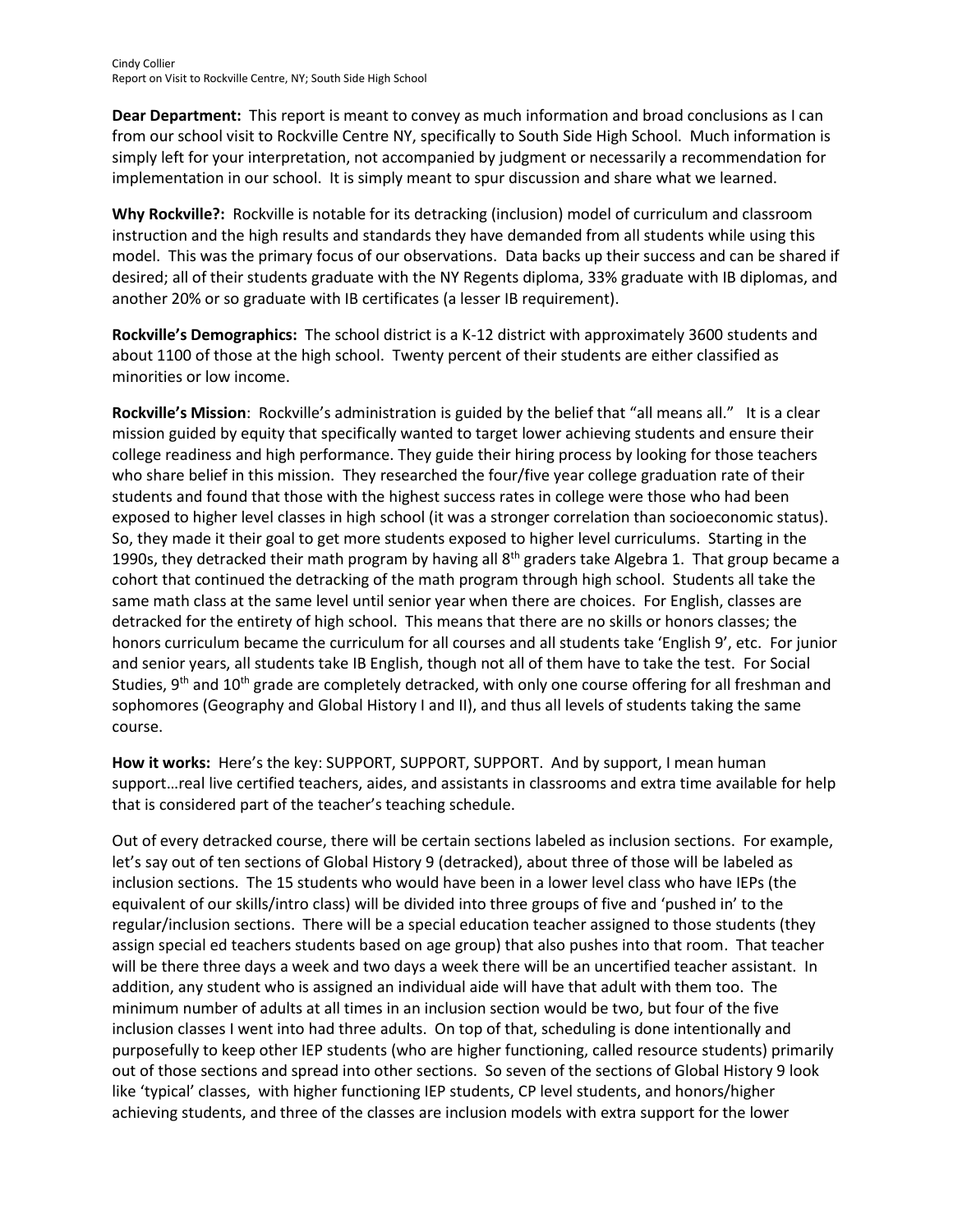**Dear Department:** This report is meant to convey as much information and broad conclusions as I can from our school visit to Rockville Centre NY, specifically to South Side High School. Much information is simply left for your interpretation, not accompanied by judgment or necessarily a recommendation for implementation in our school. It is simply meant to spur discussion and share what we learned.

**Why Rockville?:** Rockville is notable for its detracking (inclusion) model of curriculum and classroom instruction and the high results and standards they have demanded from all students while using this model. This was the primary focus of our observations. Data backs up their success and can be shared if desired; all of their students graduate with the NY Regents diploma, 33% graduate with IB diplomas, and another 20% or so graduate with IB certificates (a lesser IB requirement).

**Rockville's Demographics:** The school district is a K-12 district with approximately 3600 students and about 1100 of those at the high school. Twenty percent of their students are either classified as minorities or low income.

**Rockville's Mission**: Rockville's administration is guided by the belief that "all means all." It is a clear mission guided by equity that specifically wanted to target lower achieving students and ensure their college readiness and high performance. They guide their hiring process by looking for those teachers who share belief in this mission. They researched the four/five year college graduation rate of their students and found that those with the highest success rates in college were those who had been exposed to higher level classes in high school (it was a stronger correlation than socioeconomic status). So, they made it their goal to get more students exposed to higher level curriculums. Starting in the 1990s, they detracked their math program by having all  $8<sup>th</sup>$  graders take Algebra 1. That group became a cohort that continued the detracking of the math program through high school. Students all take the same math class at the same level until senior year when there are choices. For English, classes are detracked for the entirety of high school. This means that there are no skills or honors classes; the honors curriculum became the curriculum for all courses and all students take 'English 9', etc. For junior and senior years, all students take IB English, though not all of them have to take the test. For Social Studies,  $9<sup>th</sup>$  and 10<sup>th</sup> grade are completely detracked, with only one course offering for all freshman and sophomores (Geography and Global History I and II), and thus all levels of students taking the same course.

**How it works:** Here's the key: SUPPORT, SUPPORT, SUPPORT. And by support, I mean human support…real live certified teachers, aides, and assistants in classrooms and extra time available for help that is considered part of the teacher's teaching schedule.

Out of every detracked course, there will be certain sections labeled as inclusion sections. For example, let's say out of ten sections of Global History 9 (detracked), about three of those will be labeled as inclusion sections. The 15 students who would have been in a lower level class who have IEPs (the equivalent of our skills/intro class) will be divided into three groups of five and 'pushed in' to the regular/inclusion sections. There will be a special education teacher assigned to those students (they assign special ed teachers students based on age group) that also pushes into that room. That teacher will be there three days a week and two days a week there will be an uncertified teacher assistant. In addition, any student who is assigned an individual aide will have that adult with them too. The minimum number of adults at all times in an inclusion section would be two, but four of the five inclusion classes I went into had three adults. On top of that, scheduling is done intentionally and purposefully to keep other IEP students (who are higher functioning, called resource students) primarily out of those sections and spread into other sections. So seven of the sections of Global History 9 look like 'typical' classes, with higher functioning IEP students, CP level students, and honors/higher achieving students, and three of the classes are inclusion models with extra support for the lower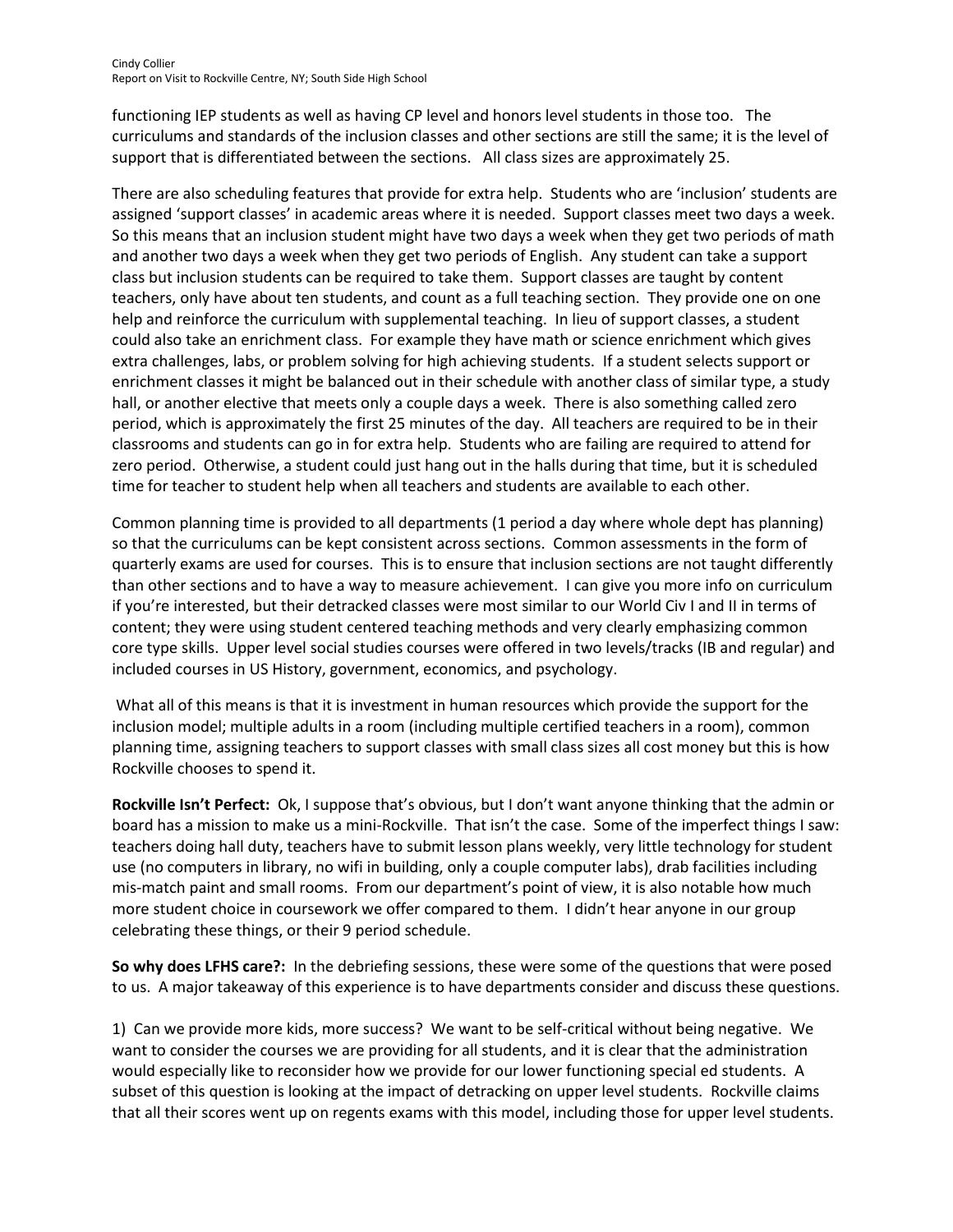functioning IEP students as well as having CP level and honors level students in those too. The curriculums and standards of the inclusion classes and other sections are still the same; it is the level of support that is differentiated between the sections. All class sizes are approximately 25.

There are also scheduling features that provide for extra help. Students who are 'inclusion' students are assigned 'support classes' in academic areas where it is needed. Support classes meet two days a week. So this means that an inclusion student might have two days a week when they get two periods of math and another two days a week when they get two periods of English. Any student can take a support class but inclusion students can be required to take them. Support classes are taught by content teachers, only have about ten students, and count as a full teaching section. They provide one on one help and reinforce the curriculum with supplemental teaching. In lieu of support classes, a student could also take an enrichment class. For example they have math or science enrichment which gives extra challenges, labs, or problem solving for high achieving students. If a student selects support or enrichment classes it might be balanced out in their schedule with another class of similar type, a study hall, or another elective that meets only a couple days a week. There is also something called zero period, which is approximately the first 25 minutes of the day. All teachers are required to be in their classrooms and students can go in for extra help. Students who are failing are required to attend for zero period. Otherwise, a student could just hang out in the halls during that time, but it is scheduled time for teacher to student help when all teachers and students are available to each other.

Common planning time is provided to all departments (1 period a day where whole dept has planning) so that the curriculums can be kept consistent across sections. Common assessments in the form of quarterly exams are used for courses. This is to ensure that inclusion sections are not taught differently than other sections and to have a way to measure achievement. I can give you more info on curriculum if you're interested, but their detracked classes were most similar to our World Civ I and II in terms of content; they were using student centered teaching methods and very clearly emphasizing common core type skills. Upper level social studies courses were offered in two levels/tracks (IB and regular) and included courses in US History, government, economics, and psychology.

What all of this means is that it is investment in human resources which provide the support for the inclusion model; multiple adults in a room (including multiple certified teachers in a room), common planning time, assigning teachers to support classes with small class sizes all cost money but this is how Rockville chooses to spend it.

**Rockville Isn't Perfect:** Ok, I suppose that's obvious, but I don't want anyone thinking that the admin or board has a mission to make us a mini-Rockville. That isn't the case. Some of the imperfect things I saw: teachers doing hall duty, teachers have to submit lesson plans weekly, very little technology for student use (no computers in library, no wifi in building, only a couple computer labs), drab facilities including mis-match paint and small rooms. From our department's point of view, it is also notable how much more student choice in coursework we offer compared to them. I didn't hear anyone in our group celebrating these things, or their 9 period schedule.

**So why does LFHS care?:** In the debriefing sessions, these were some of the questions that were posed to us. A major takeaway of this experience is to have departments consider and discuss these questions.

1) Can we provide more kids, more success? We want to be self-critical without being negative. We want to consider the courses we are providing for all students, and it is clear that the administration would especially like to reconsider how we provide for our lower functioning special ed students. A subset of this question is looking at the impact of detracking on upper level students. Rockville claims that all their scores went up on regents exams with this model, including those for upper level students.